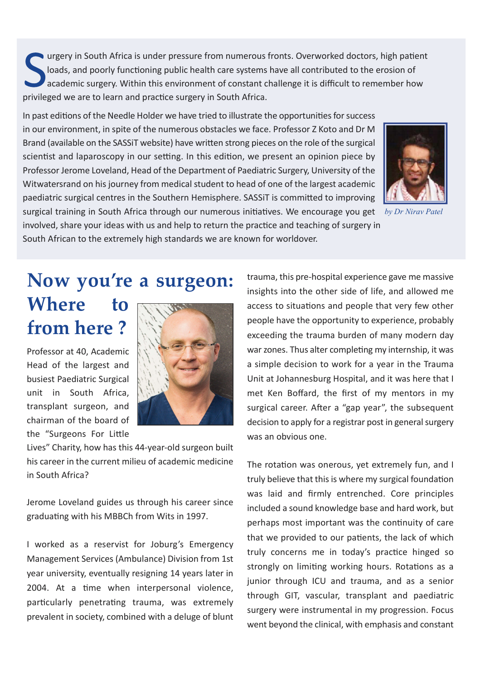urgery in South Africa is under pressure from numerous fronts. Overworked doctors, high patient loads, and poorly functioning public health care systems have all contributed to the erosion of academic surgery. Within this environment of constant challenge it is difficult to remember how privileged we are to learn and practice surgery in South Africa.

In past editions of the Needle Holder we have tried to illustrate the opportunities for success in our environment, in spite of the numerous obstacles we face. Professor Z Koto and Dr M Brand (available on the SASSiT website) have written strong pieces on the role of the surgical scientist and laparoscopy in our setting. In this edition, we present an opinion piece by Professor Jerome Loveland, Head of the Department of Paediatric Surgery, University of the Witwatersrand on his journey from medical student to head of one of the largest academic paediatric surgical centres in the Southern Hemisphere. SASSIT is committed to improving surgical training in South Africa through our numerous initiatives. We encourage you get *by Dr Nirav Patel* involved, share your ideas with us and help to return the practice and teaching of surgery in South African to the extremely high standards we are known for worldover.



Now you're a surgeon: Where to from here ?

Professor at 40, Academic Head of the largest and busiest Paediatric Surgical unit in South Africa, transplant surgeon, and chairman of the board of the "Surgeons For Little



Lives" Charity, how has this 44-year-old surgeon built his career in the current milieu of academic medicine in South Africa?

Jerome Loveland guides us through his career since graduating with his MBBCh from Wits in 1997.

I worked as a reservist for Joburg's Emergency Management Services (Ambulance) Division from 1st year university, eventually resigning 14 years later in 2004. At a time when interpersonal violence, particularly penetrating trauma, was extremely prevalent in society, combined with a deluge of blunt trauma, this pre-hospital experience gave me massive insights into the other side of life, and allowed me access to situations and people that very few other people have the opportunity to experience, probably exceeding the trauma burden of many modern day war zones. Thus alter completing my internship, it was a simple decision to work for a year in the Trauma Unit at Johannesburg Hospital, and it was here that I met Ken Boffard, the first of my mentors in my surgical career. After a "gap year", the subsequent decision to apply for a registrar post in general surgery was an obvious one.

The rotation was onerous, yet extremely fun, and I truly believe that this is where my surgical foundation was laid and firmly entrenched. Core principles included a sound knowledge base and hard work, but perhaps most important was the continuity of care that we provided to our patients, the lack of which truly concerns me in today's practice hinged so strongly on limiting working hours. Rotations as a junior through ICU and trauma, and as a senior through GIT, vascular, transplant and paediatric surgery were instrumental in my progression. Focus went beyond the clinical, with emphasis and constant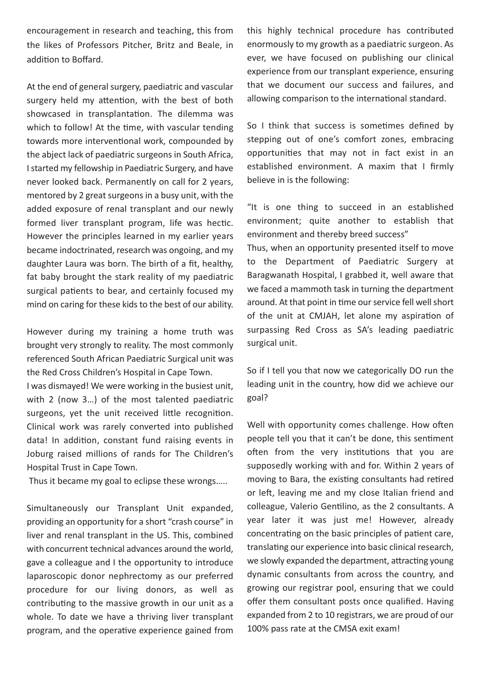encouragement in research and teaching, this from the likes of Professors Pitcher, Britz and Beale, in addition to Boffard.

At the end of general surgery, paediatric and vascular surgery held my attention, with the best of both showcased in transplantation. The dilemma was which to follow! At the time, with vascular tending towards more interventional work, compounded by the abject lack of paediatric surgeons in South Africa, I started my fellowship in Paediatric Surgery, and have never looked back. Permanently on call for 2 years, mentored by 2 great surgeons in a busy unit, with the added exposure of renal transplant and our newly formed liver transplant program, life was hectic. However the principles learned in my earlier years became indoctrinated, research was ongoing, and my daughter Laura was born. The birth of a fit, healthy, fat baby brought the stark reality of my paediatric surgical patients to bear, and certainly focused my mind on caring for these kids to the best of our ability.

However during my training a home truth was brought very strongly to reality. The most commonly referenced South African Paediatric Surgical unit was the Red Cross Children's Hospital in Cape Town.

I was dismayed! We were working in the busiest unit, with 2 (now 3…) of the most talented paediatric surgeons, yet the unit received little recognition. Clinical work was rarely converted into published data! In addition, constant fund raising events in Joburg raised millions of rands for The Children's Hospital Trust in Cape Town.

Thus it became my goal to eclipse these wrongs…..

Simultaneously our Transplant Unit expanded, providing an opportunity for a short "crash course" in liver and renal transplant in the US. This, combined with concurrent technical advances around the world, gave a colleague and I the opportunity to introduce laparoscopic donor nephrectomy as our preferred procedure for our living donors, as well as contributing to the massive growth in our unit as a whole. To date we have a thriving liver transplant program, and the operative experience gained from this highly technical procedure has contributed enormously to my growth as a paediatric surgeon. As ever, we have focused on publishing our clinical experience from our transplant experience, ensuring that we document our success and failures, and allowing comparison to the international standard.

So I think that success is sometimes defined by stepping out of one's comfort zones, embracing opportuniƟes that may not in fact exist in an established environment. A maxim that I firmly believe in is the following:

"It is one thing to succeed in an established environment; quite another to establish that environment and thereby breed success" Thus, when an opportunity presented itself to move to the Department of Paediatric Surgery at Baragwanath Hospital, I grabbed it, well aware that we faced a mammoth task in turning the department around. At that point in time our service fell well short of the unit at CMJAH, let alone my aspiration of surpassing Red Cross as SA's leading paediatric

So if I tell you that now we categorically DO run the leading unit in the country, how did we achieve our goal?

surgical unit.

Well with opportunity comes challenge. How often people tell you that it can't be done, this sentiment often from the very institutions that you are supposedly working with and for. Within 2 years of moving to Bara, the existing consultants had retired or left, leaving me and my close Italian friend and colleague, Valerio Gentilino, as the 2 consultants. A year later it was just me! However, already concentrating on the basic principles of patient care, translating our experience into basic clinical research, we slowly expanded the department, attracting young dynamic consultants from across the country, and growing our registrar pool, ensuring that we could offer them consultant posts once qualified. Having expanded from 2 to 10 registrars, we are proud of our 100% pass rate at the CMSA exit exam!